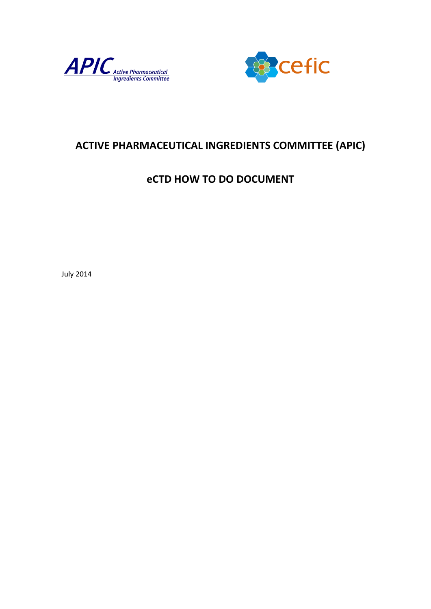



# **ACTIVE PHARMACEUTICAL INGREDIENTS COMMITTEE (APIC)**

# **eCTD HOW TO DO DOCUMENT**

July 2014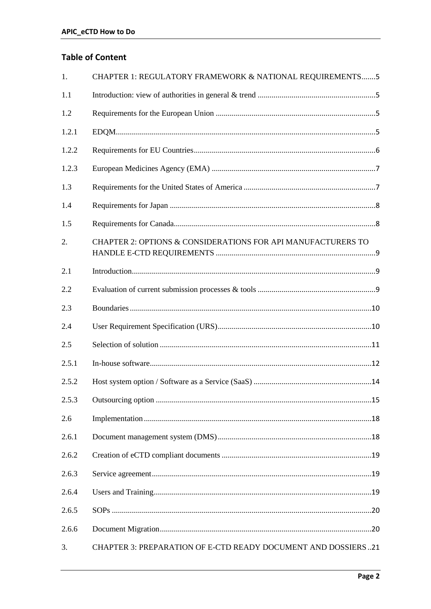# **Table of Content**

| 1.    | CHAPTER 1: REGULATORY FRAMEWORK & NATIONAL REQUIREMENTS5      |
|-------|---------------------------------------------------------------|
| 1.1   |                                                               |
| 1.2   |                                                               |
| 1.2.1 |                                                               |
| 1.2.2 |                                                               |
| 1.2.3 |                                                               |
| 1.3   |                                                               |
| 1.4   |                                                               |
| 1.5   |                                                               |
| 2.    | CHAPTER 2: OPTIONS & CONSIDERATIONS FOR API MANUFACTURERS TO  |
| 2.1   |                                                               |
| 2.2   |                                                               |
| 2.3   |                                                               |
| 2.4   |                                                               |
| 2.5   |                                                               |
| 2.5.1 |                                                               |
| 2.5.2 |                                                               |
| 2.5.3 |                                                               |
| 2.6   |                                                               |
| 2.6.1 |                                                               |
| 2.6.2 |                                                               |
| 2.6.3 |                                                               |
| 2.6.4 |                                                               |
| 2.6.5 |                                                               |
| 2.6.6 |                                                               |
| 3.    | CHAPTER 3: PREPARATION OF E-CTD READY DOCUMENT AND DOSSIERS21 |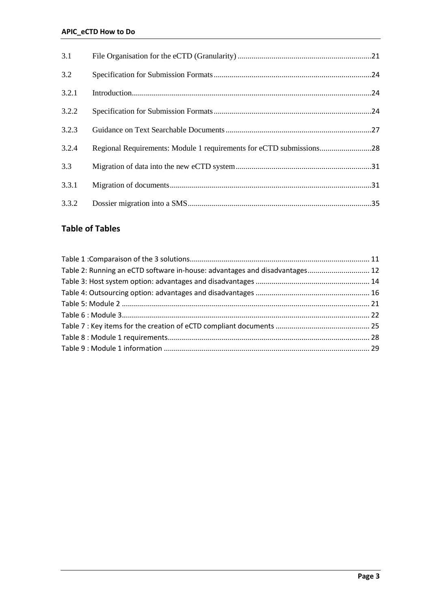| 3.1   |                                                                     |
|-------|---------------------------------------------------------------------|
| 3.2   |                                                                     |
| 3.2.1 |                                                                     |
| 3.2.2 |                                                                     |
| 3.2.3 |                                                                     |
| 3.2.4 | Regional Requirements: Module 1 requirements for eCTD submissions28 |
| 3.3   |                                                                     |
| 3.3.1 |                                                                     |
| 3.3.2 |                                                                     |

# **Table of Tables**

| Table 2: Running an eCTD software in-house: advantages and disadvantages 12 |  |
|-----------------------------------------------------------------------------|--|
|                                                                             |  |
|                                                                             |  |
|                                                                             |  |
|                                                                             |  |
|                                                                             |  |
|                                                                             |  |
|                                                                             |  |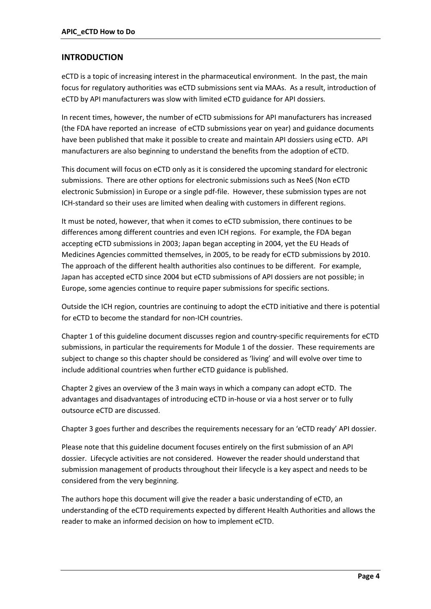### **INTRODUCTION**

eCTD is a topic of increasing interest in the pharmaceutical environment. In the past, the main focus for regulatory authorities was eCTD submissions sent via MAAs. As a result, introduction of eCTD by API manufacturers was slow with limited eCTD guidance for API dossiers.

In recent times, however, the number of eCTD submissions for API manufacturers has increased (the FDA have reported an increase of eCTD submissions year on year) and guidance documents have been published that make it possible to create and maintain API dossiers using eCTD. API manufacturers are also beginning to understand the benefits from the adoption of eCTD.

This document will focus on eCTD only as it is considered the upcoming standard for electronic submissions. There are other options for electronic submissions such as NeeS (Non eCTD electronic Submission) in Europe or a single pdf-file. However, these submission types are not ICH-standard so their uses are limited when dealing with customers in different regions.

It must be noted, however, that when it comes to eCTD submission, there continues to be differences among different countries and even ICH regions. For example, the FDA began accepting eCTD submissions in 2003; Japan began accepting in 2004, yet the EU Heads of Medicines Agencies committed themselves, in 2005, to be ready for eCTD submissions by 2010. The approach of the different health authorities also continues to be different. For example, Japan has accepted eCTD since 2004 but eCTD submissions of API dossiers are not possible; in Europe, some agencies continue to require paper submissions for specific sections.

Outside the ICH region, countries are continuing to adopt the eCTD initiative and there is potential for eCTD to become the standard for non-ICH countries.

Chapter 1 of this guideline document discusses region and country-specific requirements for eCTD submissions, in particular the requirements for Module 1 of the dossier. These requirements are subject to change so this chapter should be considered as 'living' and will evolve over time to include additional countries when further eCTD guidance is published.

Chapter 2 gives an overview of the 3 main ways in which a company can adopt eCTD. The advantages and disadvantages of introducing eCTD in-house or via a host server or to fully outsource eCTD are discussed.

Chapter 3 goes further and describes the requirements necessary for an 'eCTD ready' API dossier.

Please note that this guideline document focuses entirely on the first submission of an API dossier. Lifecycle activities are not considered. However the reader should understand that submission management of products throughout their lifecycle is a key aspect and needs to be considered from the very beginning.

The authors hope this document will give the reader a basic understanding of eCTD, an understanding of the eCTD requirements expected by different Health Authorities and allows the reader to make an informed decision on how to implement eCTD.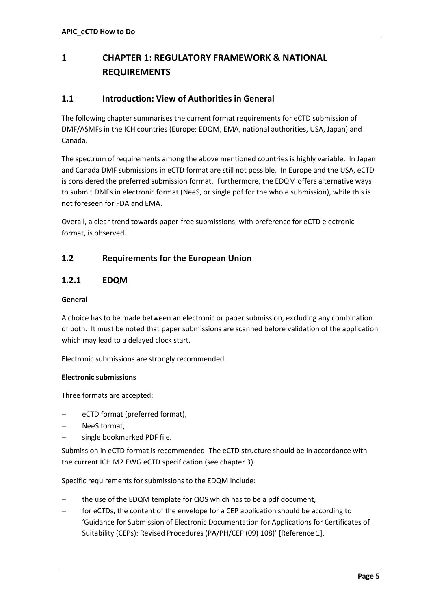# <span id="page-4-0"></span>**1 CHAPTER 1: REGULATORY FRAMEWORK & NATIONAL REQUIREMENTS**

## <span id="page-4-1"></span>**1.1 Introduction: View of Authorities in General**

The following chapter summarises the current format requirements for eCTD submission of DMF/ASMFs in the ICH countries (Europe: EDQM, EMA, national authorities, USA, Japan) and Canada.

The spectrum of requirements among the above mentioned countries is highly variable. In Japan and Canada DMF submissions in eCTD format are still not possible. In Europe and the USA, eCTD is considered the preferred submission format. Furthermore, the EDQM offers alternative ways to submit DMFs in electronic format (NeeS, or single pdf for the whole submission), while this is not foreseen for FDA and EMA.

Overall, a clear trend towards paper-free submissions, with preference for eCTD electronic format, is observed.

### <span id="page-4-2"></span>**1.2 Requirements for the European Union**

### <span id="page-4-3"></span>**1.2.1 EDQM**

### **General**

A choice has to be made between an electronic or paper submission, excluding any combination of both. It must be noted that paper submissions are scanned before validation of the application which may lead to a delayed clock start.

Electronic submissions are strongly recommended.

#### **Electronic submissions**

Three formats are accepted:

- eCTD format (preferred format),
- NeeS format,
- single bookmarked PDF file.

Submission in eCTD format is recommended. The eCTD structure should be in accordance with the current ICH M2 EWG eCTD specification (see chapter 3).

Specific requirements for submissions to the EDQM include:

- the use of the EDQM template for QOS which has to be a pdf document,
- for eCTDs, the content of the envelope for a CEP application should be according to 'Guidance for Submission of Electronic Documentation for Applications for Certificates of Suitability (CEPs): Revised Procedures (PA/PH/CEP (09) 108)' [Reference 1].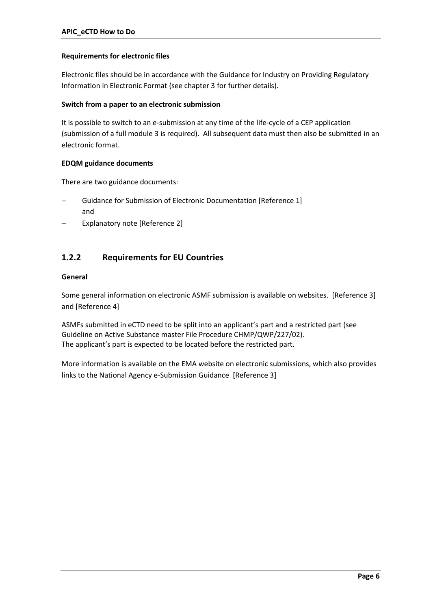#### **Requirements for electronic files**

Electronic files should be in accordance with the Guidance for Industry on Providing Regulatory Information in Electronic Format [\(see chapter 3](#page-20-0) for further details).

#### **Switch from a paper to an electronic submission**

It is possible to switch to an e-submission at any time of the life-cycle of a CEP application (submission of a full module 3 is required). All subsequent data must then also be submitted in an electronic format.

### **EDQM guidance documents**

There are two guidance documents:

- Guidance for Submission of Electronic Documentation [Reference 1] and
- Explanatory note [Reference 2]

# <span id="page-5-0"></span>**1.2.2 Requirements for EU Countries**

### **General**

Some general information on electronic ASMF submission is available on websites. [Reference 3] and [Reference 4]

ASMFs submitted in eCTD need to be split into an applicant's part and a restricted part (see Guideline on Active Substance master File Procedure CHMP/QWP/227/02). The applicant's part is expected to be located before the restricted part.

More information is available on the EMA website on electronic submissions, which also provides links to the National Agency e-Submission Guidance [Reference 3]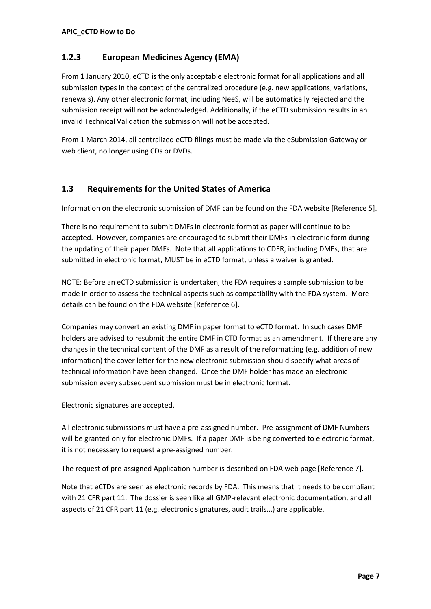# <span id="page-6-0"></span>**1.2.3 European Medicines Agency (EMA)**

From 1 January 2010, eCTD is the only acceptable electronic format for all applications and all submission types in the context of the centralized procedure (e.g. new applications, variations, renewals). Any other electronic format, including NeeS, will be automatically rejected and the submission receipt will not be acknowledged. Additionally, if the eCTD submission results in an invalid Technical Validation the submission will not be accepted.

<span id="page-6-1"></span>From 1 March 2014, all centralized eCTD filings must be made via the eSubmission Gateway or web client, no longer using CDs or DVDs.

# **1.3 Requirements for the United States of America**

Information on the electronic submission of DMF can be found on the FDA website [Reference 5].

There is no requirement to submit DMFs in electronic format as paper will continue to be accepted. However, companies are encouraged to submit their DMFs in electronic form during the updating of their paper DMFs. Note that all applications to CDER, including DMFs, that are submitted in electronic format, MUST be in eCTD format, unless a waiver is granted.

NOTE: Before an eCTD submission is undertaken, the FDA requires a sample submission to be made in order to assess the technical aspects such as compatibility with the FDA system. More details can be found on the FDA website [Reference 6].

Companies may convert an existing DMF in paper format to eCTD format. In such cases DMF holders are advised to resubmit the entire DMF in CTD format as an amendment. If there are any changes in the technical content of the DMF as a result of the reformatting (e.g. addition of new information) the cover letter for the new electronic submission should specify what areas of technical information have been changed. Once the DMF holder has made an electronic submission every subsequent submission must be in electronic format.

Electronic signatures are accepted.

All electronic submissions must have a pre-assigned number. Pre-assignment of DMF Numbers will be granted only for electronic DMFs. If a paper DMF is being converted to electronic format, it is not necessary to request a pre-assigned number.

The request of pre-assigned Application number is described on FDA web page [Reference 7].

Note that eCTDs are seen as electronic records by FDA. This means that it needs to be compliant with 21 CFR part 11. The dossier is seen like all GMP-relevant electronic documentation, and all aspects of 21 CFR part 11 (e.g. electronic signatures, audit trails...) are applicable.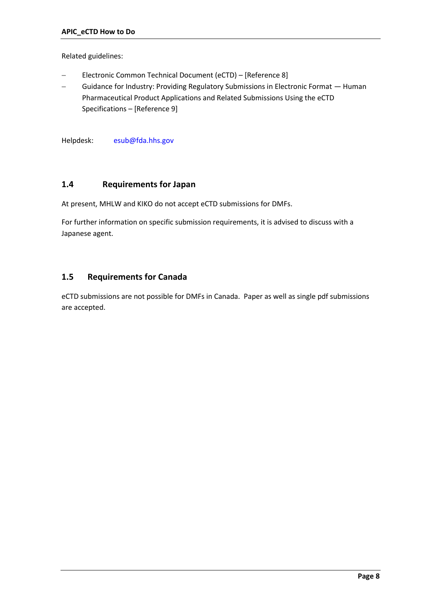Related guidelines:

- [Electronic Common Technical Document \(eCTD\)](http://www.fda.gov/Drugs/DevelopmentApprovalProcess/FormsSubmissionRequirements/ElectronicSubmissions/UCM085361) [Reference 8]
- [Guidance for Industry: Providing Regulatory Submissions in Electronic Format](http://www.fda.gov/downloads/Drugs/GuidanceComplianceRegulatoryInformation/Guidances/UCM149705.pdf)  Human [Pharmaceutical Product Applications and Related Submissions Using the eCTD](http://www.fda.gov/downloads/Drugs/GuidanceComplianceRegulatoryInformation/Guidances/UCM149705.pdf)  [Specifications](http://www.fda.gov/downloads/Drugs/GuidanceComplianceRegulatoryInformation/Guidances/UCM149705.pdf) – [Reference 9]

Helpdesk: [esub@fda.hhs.gov](mailto:esub@fda.hhs.gov)

### <span id="page-7-0"></span>**1.4 Requirements for Japan**

At present, MHLW and KIKO do not accept eCTD submissions for DMFs.

For further information on specific submission requirements, it is advised to discuss with a Japanese agent.

## <span id="page-7-1"></span>**1.5 Requirements for Canada**

eCTD submissions are not possible for DMFs in Canada. Paper as well as single pdf submissions are accepted.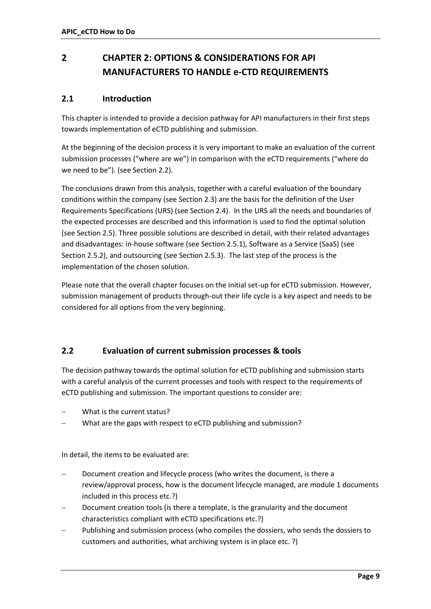# <span id="page-8-0"></span>**2 CHAPTER 2: OPTIONS & CONSIDERATIONS FOR API MANUFACTURERS TO HANDLE e-CTD REQUIREMENTS**

# <span id="page-8-1"></span>**2.1 Introduction**

This chapter is intended to provide a decision pathway for API manufacturers in their first steps towards implementation of eCTD publishing and submission.

At the beginning of the decision process it is very important to make an evaluation of the current submission processes ("where are we") in comparison with the eCTD requirements ("where do we need to be"). (see Section 2.2).

The conclusions drawn from this analysis, together with a careful evaluation of the boundary conditions within the company (see Section 2.3) are the basis for the definition of the User Requirements Specifications (URS) (see Section 2.4). In the URS all the needs and boundaries of the expected processes are described and this information is used to find the optimal solution (see Section 2.5). Three possible solutions are described in detail, with their related advantages and disadvantages: in-house software (see Section 2.5.1), Software as a Service (SaaS) (see Section 2.5.2), and outsourcing (see Section 2.5.3). The last step of the process is the implementation of the chosen solution.

Please note that the overall chapter focuses on the initial set-up for eCTD submission. However, submission management of products through-out their life cycle is a key aspect and needs to be considered for all options from the very beginning.

# <span id="page-8-2"></span>**2.2 Evaluation of current submission processes & tools**

The decision pathway towards the optimal solution for eCTD publishing and submission starts with a careful analysis of the current processes and tools with respect to the requirements of eCTD publishing and submission. The important questions to consider are:

- What is the current status?
- What are the gaps with respect to eCTD publishing and submission?

In detail, the items to be evaluated are:

- Document creation and lifecycle process (who writes the document, is there a review/approval process, how is the document lifecycle managed, are module 1 documents included in this process etc.?)
- Document creation tools (is there a template, is the granularity and the document characteristics compliant with eCTD specifications etc.?)
- Publishing and submission process (who compiles the dossiers, who sends the dossiers to customers and authorities, what archiving system is in place etc. ?)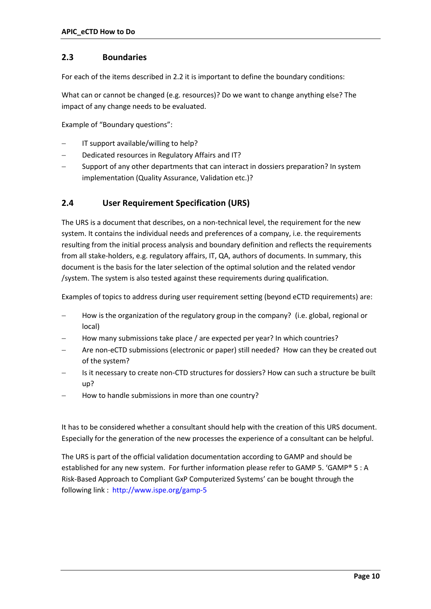### <span id="page-9-0"></span>**2.3 Boundaries**

For each of the items described in 2.2 it is important to define the boundary conditions:

What can or cannot be changed (e.g. resources)? Do we want to change anything else? The impact of any change needs to be evaluated.

Example of "Boundary questions":

- IT support available/willing to help?
- Dedicated resources in Regulatory Affairs and IT?
- Support of any other departments that can interact in dossiers preparation? In system implementation (Quality Assurance, Validation etc.)?

# <span id="page-9-1"></span>**2.4 User Requirement Specification (URS)**

The URS is a document that describes, on a non-technical level, the requirement for the new system. It contains the individual needs and preferences of a company, i.e. the requirements resulting from the initial process analysis and boundary definition and reflects the requirements from all stake-holders, e.g. regulatory affairs, IT, QA, authors of documents. In summary, this document is the basis for the later selection of the optimal solution and the related vendor /system. The system is also tested against these requirements during qualification.

Examples of topics to address during user requirement setting (beyond eCTD requirements) are:

- How is the organization of the regulatory group in the company? (i.e. global, regional or local)
- How many submissions take place / are expected per year? In which countries?
- Are non-eCTD submissions (electronic or paper) still needed? How can they be created out of the system?
- Is it necessary to create non-CTD structures for dossiers? How can such a structure be built up?
- How to handle submissions in more than one country?

It has to be considered whether a consultant should help with the creation of this URS document. Especially for the generation of the new processes the experience of a consultant can be helpful.

The URS is part of the official validation documentation according to GAMP and should be established for any new system. For further information please refer to GAMP 5. 'GAMP® 5 : A Risk-Based Approach to Compliant GxP Computerized Systems' can be bought through the following link : <http://www.ispe.org/gamp-5>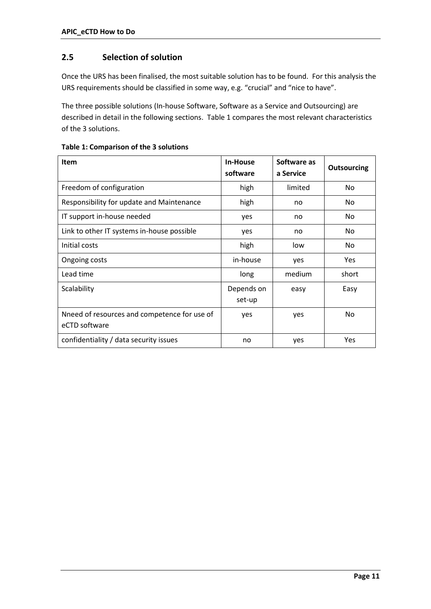# <span id="page-10-0"></span>**2.5 Selection of solution**

Once the URS has been finalised, the most suitable solution has to be found. For this analysis the URS requirements should be classified in some way, e.g. "crucial" and "nice to have".

The three possible solutions (In-house Software, Software as a Service and Outsourcing) are described in detail in the following sections. [Table 1](#page-10-2) compares the most relevant characteristics of the 3 solutions.

<span id="page-10-1"></span>

| <b>Item</b>                                                   | In-House<br>software | Software as<br>a Service | <b>Outsourcing</b> |
|---------------------------------------------------------------|----------------------|--------------------------|--------------------|
| Freedom of configuration                                      | high                 | limited                  | No.                |
| Responsibility for update and Maintenance                     | high                 | no                       | No                 |
| IT support in-house needed                                    | yes                  | no                       | No.                |
| Link to other IT systems in-house possible                    | yes                  | no                       | No.                |
| Initial costs                                                 | high                 | low                      | No                 |
| Ongoing costs                                                 | in-house             | yes                      | Yes                |
| Lead time                                                     | long                 | medium                   | short              |
| Scalability                                                   | Depends on<br>set-up | easy                     | Easy               |
| Nneed of resources and competence for use of<br>eCTD software | yes                  | yes                      | <b>No</b>          |
| confidentiality / data security issues                        | no                   | yes                      | Yes                |

<span id="page-10-2"></span>**Table 1: Comparison of the 3 solutions**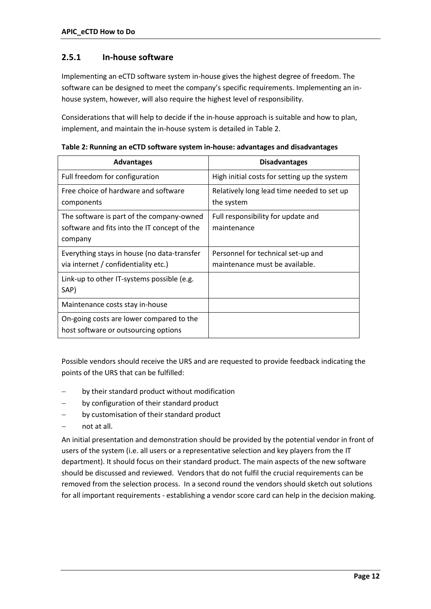## **2.5.1 In-house software**

Implementing an eCTD software system in-house gives the highest degree of freedom. The software can be designed to meet the company's specific requirements. Implementing an inhouse system, however, will also require the highest level of responsibility.

Considerations that will help to decide if the in-house approach is suitable and how to plan, implement, and maintain the in-house system is detailed in Table 2.

| <b>Advantages</b>                                                                                    | <b>Disadvantages</b>                                                 |
|------------------------------------------------------------------------------------------------------|----------------------------------------------------------------------|
| Full freedom for configuration                                                                       | High initial costs for setting up the system                         |
| Free choice of hardware and software<br>components                                                   | Relatively long lead time needed to set up<br>the system             |
| The software is part of the company-owned<br>software and fits into the IT concept of the<br>company | Full responsibility for update and<br>maintenance                    |
| Everything stays in house (no data-transfer<br>via internet / confidentiality etc.)                  | Personnel for technical set-up and<br>maintenance must be available. |
| Link-up to other IT-systems possible (e.g.<br>SAP)                                                   |                                                                      |
| Maintenance costs stay in-house                                                                      |                                                                      |
| On-going costs are lower compared to the<br>host software or outsourcing options                     |                                                                      |

<span id="page-11-0"></span>**Table 2: Running an eCTD software system in-house: advantages and disadvantages**

Possible vendors should receive the URS and are requested to provide feedback indicating the points of the URS that can be fulfilled:

- by their standard product without modification
- by configuration of their standard product
- by customisation of their standard product
- not at all.

An initial presentation and demonstration should be provided by the potential vendor in front of users of the system (i.e. all users or a representative selection and key players from the IT department). It should focus on their standard product. The main aspects of the new software should be discussed and reviewed. Vendors that do not fulfil the crucial requirements can be removed from the selection process. In a second round the vendors should sketch out solutions for all important requirements - establishing a vendor score card can help in the decision making.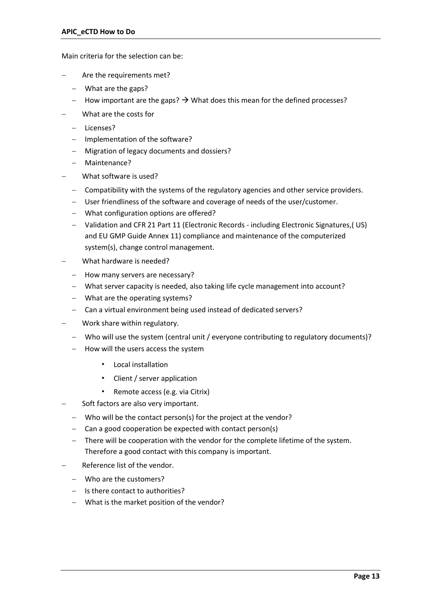Main criteria for the selection can be:

- Are the requirements met?
	- What are the gaps?
	- $-$  How important are the gaps?  $\rightarrow$  What does this mean for the defined processes?
- What are the costs for
	- Licenses?
	- Implementation of the software?
	- Migration of legacy documents and dossiers?
	- Maintenance?
- What software is used?
	- Compatibility with the systems of the regulatory agencies and other service providers.
	- User friendliness of the software and coverage of needs of the user/customer.
	- What configuration options are offered?
	- Validation and CFR 21 Part 11 (Electronic Records including Electronic Signatures,( US) and EU GMP Guide Annex 11) compliance and maintenance of the computerized system(s), change control management.
- What hardware is needed?
	- How many servers are necessary?
	- What server capacity is needed, also taking life cycle management into account?
	- What are the operating systems?
	- Can a virtual environment being used instead of dedicated servers?
- Work share within regulatory.
	- Who will use the system (central unit / everyone contributing to regulatory documents)?
	- $-$  How will the users access the system
		- Local installation
		- Client / server application
		- Remote access (e.g. via Citrix)
- Soft factors are also very important.
	- Who will be the contact person(s) for the project at the vendor?
	- $-$  Can a good cooperation be expected with contact person(s)
	- There will be cooperation with the vendor for the complete lifetime of the system. Therefore a good contact with this company is important.
- Reference list of the vendor.
	- Who are the customers?
	- Is there contact to authorities?
	- What is the market position of the vendor?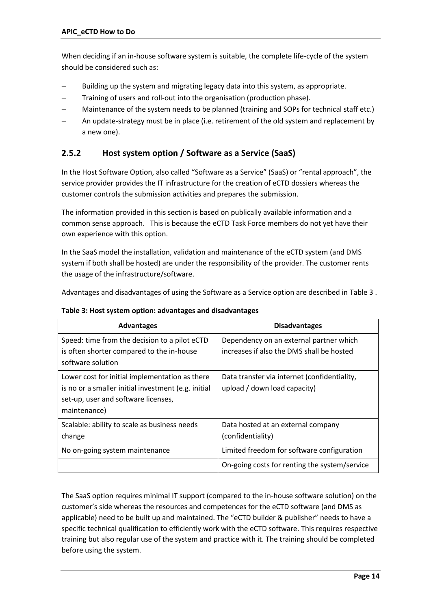When deciding if an in-house software system is suitable, the complete life-cycle of the system should be considered such as:

- Building up the system and migrating legacy data into this system, as appropriate.
- Training of users and roll-out into the organisation (production phase).
- Maintenance of the system needs to be planned (training and SOPs for technical staff etc.)
- An update-strategy must be in place (i.e. retirement of the old system and replacement by a new one).

# <span id="page-13-0"></span>**2.5.2 Host system option / Software as a Service (SaaS)**

In the Host Software Option, also called "Software as a Service" (SaaS) or "rental approach", the service provider provides the IT infrastructure for the creation of eCTD dossiers whereas the customer controls the submission activities and prepares the submission.

The information provided in this section is based on publically available information and a common sense approach. This is because the eCTD Task Force members do not yet have their own experience with this option.

In the SaaS model the installation, validation and maintenance of the eCTD system (and DMS system if both shall be hosted) are under the responsibility of the provider. The customer rents the usage of the infrastructure/software.

Advantages and disadvantages of using the Software as a Service option are described in Table 3 .

<span id="page-13-1"></span>

| Table 3: Host system option: advantages and disadvantages |  |  |
|-----------------------------------------------------------|--|--|
|-----------------------------------------------------------|--|--|

| <b>Advantages</b>                                                                                                                                            | <b>Disadvantages</b>                                                                 |
|--------------------------------------------------------------------------------------------------------------------------------------------------------------|--------------------------------------------------------------------------------------|
| Speed: time from the decision to a pilot eCTD<br>is often shorter compared to the in-house<br>software solution                                              | Dependency on an external partner which<br>increases if also the DMS shall be hosted |
| Lower cost for initial implementation as there<br>is no or a smaller initial investment (e.g. initial<br>set-up, user and software licenses,<br>maintenance) | Data transfer via internet (confidentiality,<br>upload / down load capacity)         |
| Scalable: ability to scale as business needs<br>change                                                                                                       | Data hosted at an external company<br>(confidentiality)                              |
| No on-going system maintenance                                                                                                                               | Limited freedom for software configuration                                           |
|                                                                                                                                                              | On-going costs for renting the system/service                                        |

The SaaS option requires minimal IT support (compared to the in-house software solution) on the customer's side whereas the resources and competences for the eCTD software (and DMS as applicable) need to be built up and maintained. The "eCTD builder & publisher" needs to have a specific technical qualification to efficiently work with the eCTD software. This requires respective training but also regular use of the system and practice with it. The training should be completed before using the system.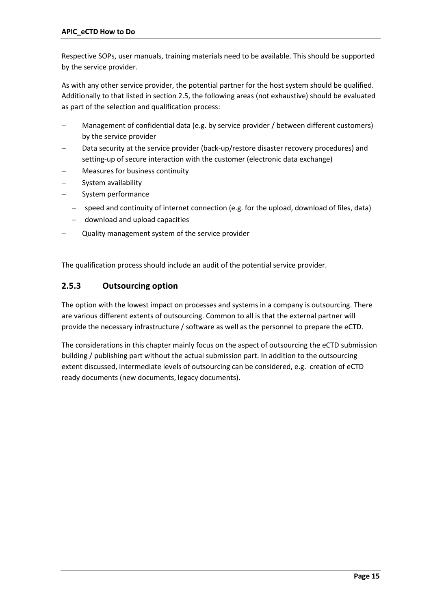Respective SOPs, user manuals, training materials need to be available. This should be supported by the service provider.

As with any other service provider, the potential partner for the host system should be qualified. Additionally to that listed in section 2.5, the following areas (not exhaustive) should be evaluated as part of the selection and qualification process:

- Management of confidential data (e.g. by service provider / between different customers) by the service provider
- Data security at the service provider (back-up/restore disaster recovery procedures) and setting-up of secure interaction with the customer (electronic data exchange)
- Measures for business continuity
- System availability
- System performance
	- speed and continuity of internet connection (e.g. for the upload, download of files, data)
	- download and upload capacities
- Quality management system of the service provider

The qualification process should include an audit of the potential service provider.

## <span id="page-14-0"></span>**2.5.3 Outsourcing option**

The option with the lowest impact on processes and systems in a company is outsourcing. There are various different extents of outsourcing. Common to all is that the external partner will provide the necessary infrastructure / software as well as the personnel to prepare the eCTD.

<span id="page-14-1"></span>The considerations in this chapter mainly focus on the aspect of outsourcing the eCTD submission building / publishing part without the actual submission part. In addition to the outsourcing extent discussed, intermediate levels of outsourcing can be considered, e.g. creation of eCTD ready documents (new documents, legacy documents).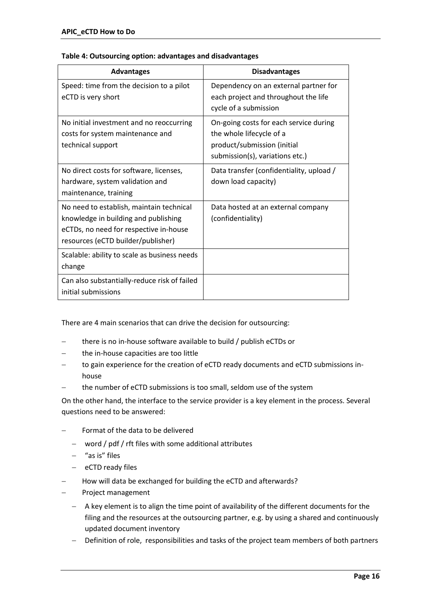| <b>Advantages</b>                                                                                                                                                | <b>Disadvantages</b>                                                                                                                 |
|------------------------------------------------------------------------------------------------------------------------------------------------------------------|--------------------------------------------------------------------------------------------------------------------------------------|
| Speed: time from the decision to a pilot<br>eCTD is very short                                                                                                   | Dependency on an external partner for<br>each project and throughout the life<br>cycle of a submission                               |
| No initial investment and no reoccurring<br>costs for system maintenance and<br>technical support                                                                | On-going costs for each service during<br>the whole lifecycle of a<br>product/submission (initial<br>submission(s), variations etc.) |
| No direct costs for software, licenses,<br>hardware, system validation and<br>maintenance, training                                                              | Data transfer (confidentiality, upload /<br>down load capacity)                                                                      |
| No need to establish, maintain technical<br>knowledge in building and publishing<br>eCTDs, no need for respective in-house<br>resources (eCTD builder/publisher) | Data hosted at an external company<br>(confidentiality)                                                                              |
| Scalable: ability to scale as business needs<br>change                                                                                                           |                                                                                                                                      |
| Can also substantially-reduce risk of failed<br>initial submissions                                                                                              |                                                                                                                                      |

#### **Table 4: Outsourcing option: advantages and disadvantages**

There are 4 main scenarios that can drive the decision for outsourcing:

- there is no in-house software available to build / publish eCTDs or
- the in-house capacities are too little
- to gain experience for the creation of eCTD ready documents and eCTD submissions inhouse
- the number of eCTD submissions is too small, seldom use of the system

On the other hand, the interface to the service provider is a key element in the process. Several questions need to be answered:

- Format of the data to be delivered
	- word / pdf / rft files with some additional attributes
	- $-$  "as is" files
	- $-$  eCTD ready files
- How will data be exchanged for building the eCTD and afterwards?
- Project management
	- A key element is to align the time point of availability of the different documents for the filing and the resources at the outsourcing partner, e.g. by using a shared and continuously updated document inventory
	- Definition of role, responsibilities and tasks of the project team members of both partners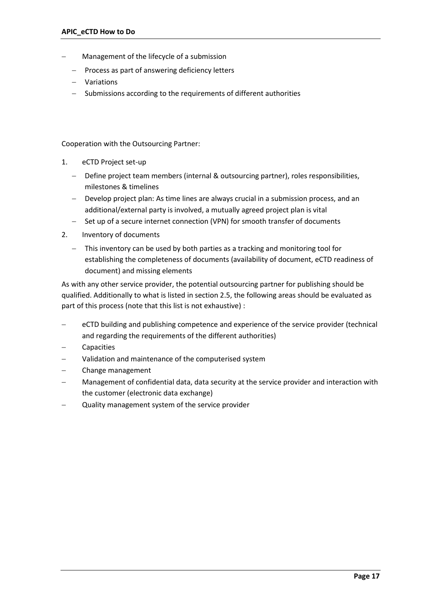- Management of the lifecycle of a submission
	- $-$  Process as part of answering deficiency letters
	- Variations
	- Submissions according to the requirements of different authorities

Cooperation with the Outsourcing Partner:

- 1. eCTD Project set-up
	- Define project team members (internal & outsourcing partner), roles responsibilities, milestones & timelines
	- Develop project plan: As time lines are always crucial in a submission process, and an additional/external party is involved, a mutually agreed project plan is vital
	- Set up of a secure internet connection (VPN) for smooth transfer of documents
- 2. Inventory of documents
	- This inventory can be used by both parties as a tracking and monitoring tool for establishing the completeness of documents (availability of document, eCTD readiness of document) and missing elements

As with any other service provider, the potential outsourcing partner for publishing should be qualified. Additionally to what is listed in section 2.5, the following areas should be evaluated as part of this process (note that this list is not exhaustive) :

- eCTD building and publishing competence and experience of the service provider (technical and regarding the requirements of the different authorities)
- Capacities
- Validation and maintenance of the computerised system
- Change management
- Management of confidential data, data security at the service provider and interaction with the customer (electronic data exchange)
- <span id="page-16-0"></span>Quality management system of the service provider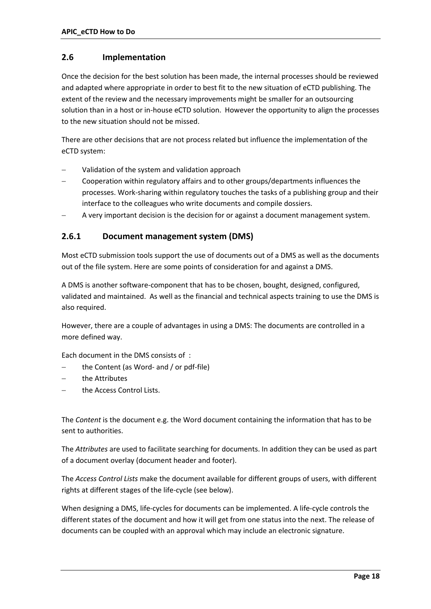## **2.6 Implementation**

Once the decision for the best solution has been made, the internal processes should be reviewed and adapted where appropriate in order to best fit to the new situation of eCTD publishing. The extent of the review and the necessary improvements might be smaller for an outsourcing solution than in a host or in-house eCTD solution. However the opportunity to align the processes to the new situation should not be missed.

There are other decisions that are not process related but influence the implementation of the eCTD system:

- Validation of the system and validation approach
- Cooperation within regulatory affairs and to other groups/departments influences the processes. Work-sharing within regulatory touches the tasks of a publishing group and their interface to the colleagues who write documents and compile dossiers.
- A very important decision is the decision for or against a document management system.

# <span id="page-17-0"></span>**2.6.1 Document management system (DMS)**

Most eCTD submission tools support the use of documents out of a DMS as well as the documents out of the file system. Here are some points of consideration for and against a DMS.

A DMS is another software-component that has to be chosen, bought, designed, configured, validated and maintained. As well as the financial and technical aspects training to use the DMS is also required.

However, there are a couple of advantages in using a DMS: The documents are controlled in a more defined way.

Each document in the DMS consists of :

- the Content (as Word- and / or pdf-file)
- the Attributes
- the Access Control Lists.

The *Content* is the document e.g. the Word document containing the information that has to be sent to authorities.

The *Attributes* are used to facilitate searching for documents. In addition they can be used as part of a document overlay (document header and footer).

The *Access Control Lists* make the document available for different groups of users, with different rights at different stages of the life-cycle (see below).

When designing a DMS, life-cycles for documents can be implemented. A life-cycle controls the different states of the document and how it will get from one status into the next. The release of documents can be coupled with an approval which may include an electronic signature.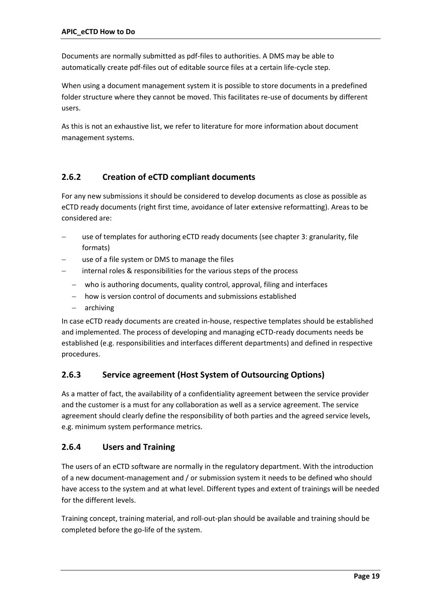Documents are normally submitted as pdf-files to authorities. A DMS may be able to automatically create pdf-files out of editable source files at a certain life-cycle step.

When using a document management system it is possible to store documents in a predefined folder structure where they cannot be moved. This facilitates re-use of documents by different users.

As this is not an exhaustive list, we refer to literature for more information about document management systems.

# <span id="page-18-0"></span>**2.6.2 Creation of eCTD compliant documents**

For any new submissions it should be considered to develop documents as close as possible as eCTD ready documents (right first time, avoidance of later extensive reformatting). Areas to be considered are:

- use of templates for authoring eCTD ready documents (see chapter 3: granularity, file formats)
- use of a file system or DMS to manage the files
- internal roles & responsibilities for the various steps of the process
	- who is authoring documents, quality control, approval, filing and interfaces
	- how is version control of documents and submissions established
	- archiving

In case eCTD ready documents are created in-house, respective templates should be established and implemented. The process of developing and managing eCTD-ready documents needs be established (e.g. responsibilities and interfaces different departments) and defined in respective procedures.

# <span id="page-18-1"></span>**2.6.3 Service agreement (Host System of Outsourcing Options)**

As a matter of fact, the availability of a confidentiality agreement between the service provider and the customer is a must for any collaboration as well as a service agreement. The service agreement should clearly define the responsibility of both parties and the agreed service levels, e.g. minimum system performance metrics.

## <span id="page-18-2"></span>**2.6.4 Users and Training**

The users of an eCTD software are normally in the regulatory department. With the introduction of a new document-management and / or submission system it needs to be defined who should have access to the system and at what level. Different types and extent of trainings will be needed for the different levels.

Training concept, training material, and roll-out-plan should be available and training should be completed before the go-life of the system.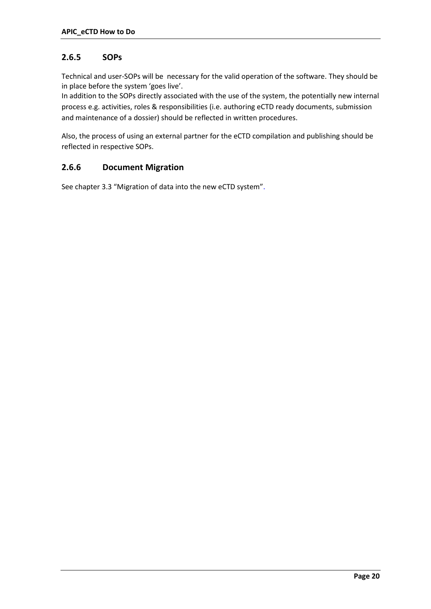# <span id="page-19-0"></span>**2.6.5 SOPs**

Technical and user-SOPs will be necessary for the valid operation of the software. They should be in place before the system 'goes live'.

In addition to the SOPs directly associated with the use of the system, the potentially new internal process e.g. activities, roles & responsibilities (i.e. authoring eCTD ready documents, submission and maintenance of a dossier) should be reflected in written procedures.

Also, the process of using an external partner for the eCTD compilation and publishing should be reflected in respective SOPs.

## <span id="page-19-1"></span>**2.6.6 Document Migration**

[See chapter 3.3 "Migration of data into the new eCTD system"](#page-30-0).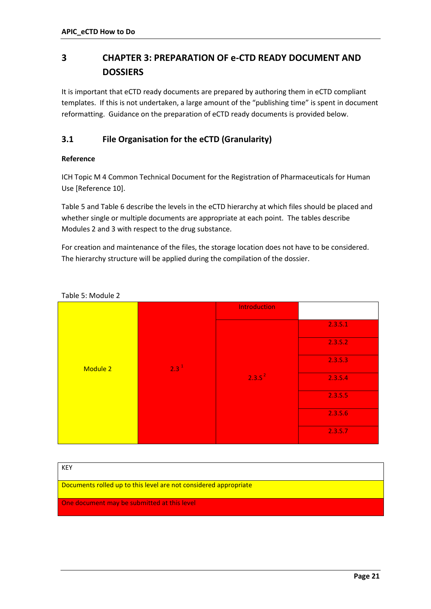# <span id="page-20-0"></span>**3 CHAPTER 3: PREPARATION OF e-CTD READY DOCUMENT AND DOSSIERS**

It is important that eCTD ready documents are prepared by authoring them in eCTD compliant templates. If this is not undertaken, a large amount of the "publishing time" is spent in document reformatting. Guidance on the preparation of eCTD ready documents is provided below.

# <span id="page-20-1"></span>**3.1 File Organisation for the eCTD (Granularity)**

### **Reference**

ICH Topic M 4 Common Technical Document for the Registration of Pharmaceuticals for Human Use [Reference 10].

Table 5 and Table 6 describe the levels in the eCTD hierarchy at which files should be placed and whether single or multiple documents are appropriate at each point. The tables describe Modules 2 and 3 with respect to the drug substance.

For creation and maintenance of the files, the storage location does not have to be considered. The hierarchy structure will be applied during the compilation of the dossier.

|          |         | <b>Introduction</b> |         |
|----------|---------|---------------------|---------|
|          |         |                     | 2.3.5.1 |
|          | $2.3^1$ |                     | 2.3.5.2 |
| Module 2 |         | $2.3.5^{2}$         | 2.3.5.3 |
|          |         |                     | 2.3.5.4 |
|          |         |                     | 2.3.S.5 |
|          |         |                     | 2.3.5.6 |
|          |         |                     | 2.3.5.7 |

<span id="page-20-2"></span>Table 5: Module 2

| KEY                                                              |
|------------------------------------------------------------------|
| Documents rolled up to this level are not considered appropriate |
| One document may be submitted at this level                      |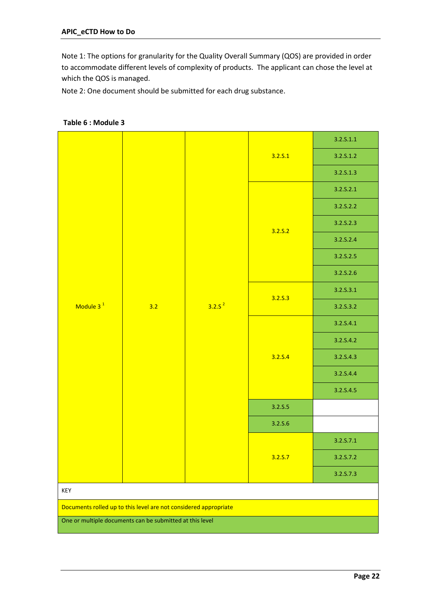Note 1: The options for granularity for the Quality Overall Summary (QOS) are provided in order to accommodate different levels of complexity of products. The applicant can chose the level at which the QOS is managed.

Note 2: One document should be submitted for each drug substance.

|                                                                  |     |             | 3.2.5.1 | 3.2.5.1.1 |
|------------------------------------------------------------------|-----|-------------|---------|-----------|
|                                                                  |     |             |         | 3.2.5.1.2 |
|                                                                  |     |             |         | 3.2.5.1.3 |
|                                                                  |     |             |         | 3.2.5.2.1 |
|                                                                  |     |             | 3.2.5.2 | 3.2.S.2.2 |
|                                                                  |     |             |         | 3.2.5.2.3 |
|                                                                  |     |             |         | 3.2.S.2.4 |
|                                                                  |     |             |         | 3.2.S.2.5 |
|                                                                  |     |             |         | 3.2.S.2.6 |
|                                                                  | 3.2 |             |         | 3.2.5.3.1 |
| Module 3 <sup>1</sup>                                            |     | $3.2.5^{2}$ | 3.2.5.3 | 3.2.S.3.2 |
|                                                                  |     |             | 3.2.5.4 | 3.2.S.4.1 |
|                                                                  |     |             |         | 3.2.S.4.2 |
|                                                                  |     |             |         | 3.2.S.4.3 |
|                                                                  |     |             |         | 3.2.S.4.4 |
|                                                                  |     |             |         | 3.2.S.4.5 |
|                                                                  |     |             | 3.2.5.5 |           |
|                                                                  |     |             | 3.2.5.6 |           |
|                                                                  |     |             | 3.2.5.7 | 3.2.5.7.1 |
|                                                                  |     |             |         | 3.2.S.7.2 |
|                                                                  |     |             |         | 3.2.5.7.3 |
| KEY                                                              |     |             |         |           |
| Documents rolled up to this level are not considered appropriate |     |             |         |           |
| One or multiple documents can be submitted at this level         |     |             |         |           |

### <span id="page-21-0"></span>**Table 6 : Module 3**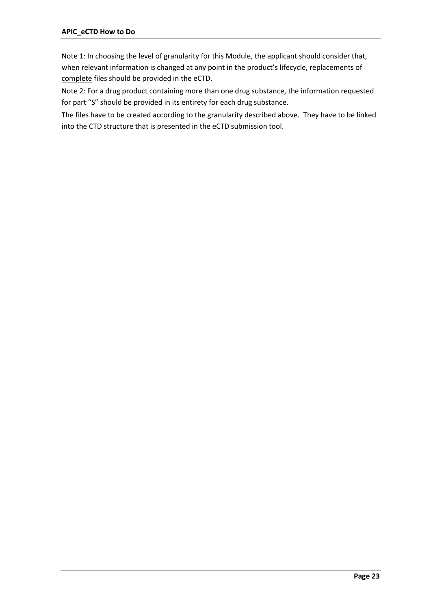Note 1: In choosing the level of granularity for this Module, the applicant should consider that, when relevant information is changed at any point in the product's lifecycle, replacements of complete files should be provided in the eCTD.

Note 2: For a drug product containing more than one drug substance, the information requested for part "S" should be provided in its entirety for each drug substance.

The files have to be created according to the granularity described above. They have to be linked into the CTD structure that is presented in the eCTD submission tool.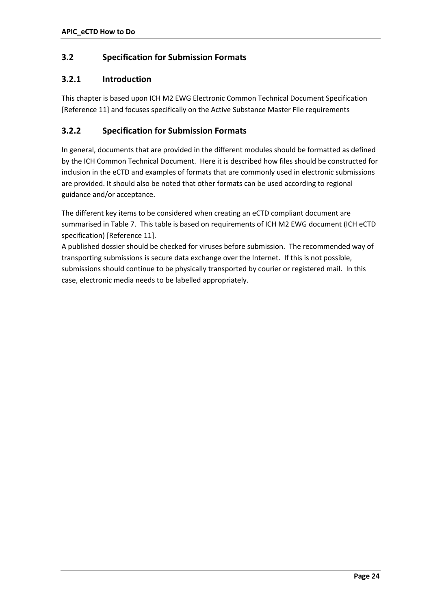# <span id="page-23-0"></span>**3.2 Specification for Submission Formats**

### <span id="page-23-1"></span>**3.2.1 Introduction**

This chapter is based upon ICH M2 EWG Electronic Common Technical Document Specification [Reference 11] and focuses specifically on the Active Substance Master File requirements

## <span id="page-23-2"></span>**3.2.2 Specification for Submission Formats**

In general, documents that are provided in the different modules should be formatted as defined by the ICH Common Technical Document. Here it is described how files should be constructed for inclusion in the eCTD and examples of formats that are commonly used in electronic submissions are provided. It should also be noted that other formats can be used according to regional guidance and/or acceptance.

The different key items to be considered when creating an eCTD compliant document are summarised in Table 7. This table is based on requirements of ICH M2 EWG document (ICH eCTD specification) [Reference 11].

A published dossier should be checked for viruses before submission. The recommended way of transporting submissions is secure data exchange over the Internet. If this is not possible, submissions should continue to be physically transported by courier or registered mail. In this case, electronic media needs to be labelled appropriately.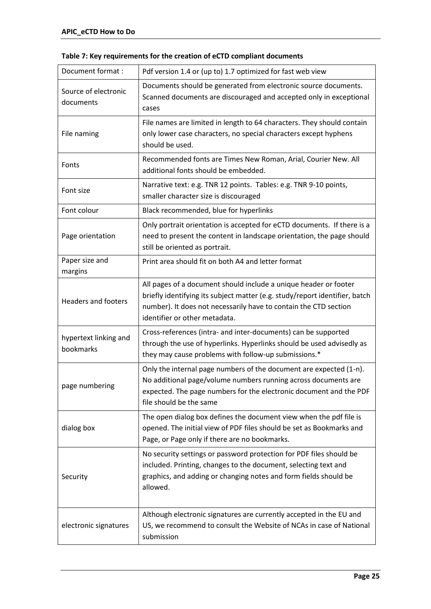| Document format :                  | Pdf version 1.4 or (up to) 1.7 optimized for fast web view                                                                                                                                                                                           |
|------------------------------------|------------------------------------------------------------------------------------------------------------------------------------------------------------------------------------------------------------------------------------------------------|
| Source of electronic<br>documents  | Documents should be generated from electronic source documents.<br>Scanned documents are discouraged and accepted only in exceptional<br>cases                                                                                                       |
| File naming                        | File names are limited in length to 64 characters. They should contain<br>only lower case characters, no special characters except hyphens<br>should be used.                                                                                        |
| Fonts                              | Recommended fonts are Times New Roman, Arial, Courier New. All<br>additional fonts should be embedded.                                                                                                                                               |
| Font size                          | Narrative text: e.g. TNR 12 points. Tables: e.g. TNR 9-10 points,<br>smaller character size is discouraged                                                                                                                                           |
| Font colour                        | Black recommended, blue for hyperlinks                                                                                                                                                                                                               |
| Page orientation                   | Only portrait orientation is accepted for eCTD documents. If there is a<br>need to present the content in landscape orientation, the page should<br>still be oriented as portrait.                                                                   |
| Paper size and<br>margins          | Print area should fit on both A4 and letter format                                                                                                                                                                                                   |
| <b>Headers and footers</b>         | All pages of a document should include a unique header or footer<br>briefly identifying its subject matter (e.g. study/report identifier, batch<br>number). It does not necessarily have to contain the CTD section<br>identifier or other metadata. |
| hypertext linking and<br>bookmarks | Cross-references (intra- and inter-documents) can be supported<br>through the use of hyperlinks. Hyperlinks should be used advisedly as<br>they may cause problems with follow-up submissions.*                                                      |
| page numbering                     | Only the internal page numbers of the document are expected (1-n).<br>No additional page/volume numbers running across documents are<br>expected. The page numbers for the electronic document and the PDF<br>file should be the same                |
| dialog box                         | The open dialog box defines the document view when the pdf file is<br>opened. The initial view of PDF files should be set as Bookmarks and<br>Page, or Page only if there are no bookmarks.                                                          |
| Security                           | No security settings or password protection for PDF files should be<br>included. Printing, changes to the document, selecting text and<br>graphics, and adding or changing notes and form fields should be<br>allowed.                               |
| electronic signatures              | Although electronic signatures are currently accepted in the EU and<br>US, we recommend to consult the Website of NCAs in case of National<br>submission                                                                                             |

# <span id="page-24-0"></span>**Table 7: Key requirements for the creation of eCTD compliant documents**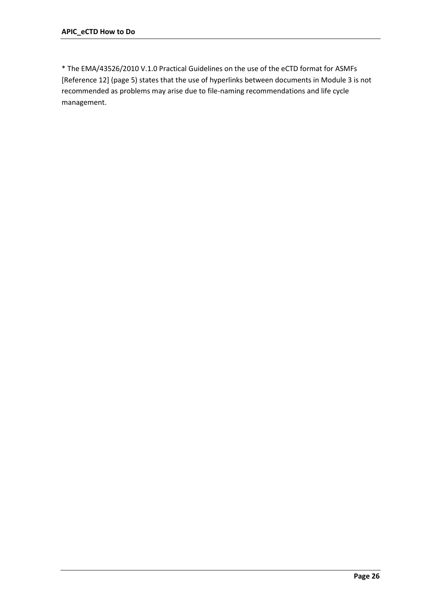\* The EMA/43526/2010 V.1.0 Practical Guidelines on the use of the eCTD format for ASMFs [Reference 12] (page 5) states that the use of hyperlinks between documents in Module 3 is not recommended as problems may arise due to file-naming recommendations and life cycle management.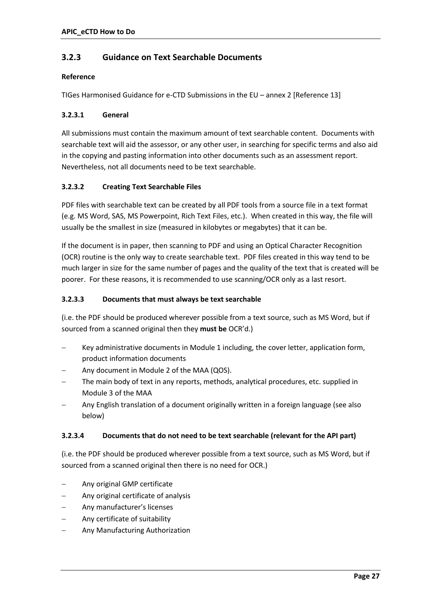# <span id="page-26-0"></span>**3.2.3 Guidance on Text Searchable Documents**

### **Reference**

TIGes Harmonised Guidance for e-CTD Submissions in the EU – annex 2 [Reference 13]

### **3.2.3.1 General**

All submissions must contain the maximum amount of text searchable content. Documents with searchable text will aid the assessor, or any other user, in searching for specific terms and also aid in the copying and pasting information into other documents such as an assessment report. Nevertheless, not all documents need to be text searchable.

### **3.2.3.2 Creating Text Searchable Files**

PDF files with searchable text can be created by all PDF tools from a source file in a text format (e.g. MS Word, SAS, MS Powerpoint, Rich Text Files, etc.). When created in this way, the file will usually be the smallest in size (measured in kilobytes or megabytes) that it can be.

If the document is in paper, then scanning to PDF and using an Optical Character Recognition (OCR) routine is the only way to create searchable text. PDF files created in this way tend to be much larger in size for the same number of pages and the quality of the text that is created will be poorer. For these reasons, it is recommended to use scanning/OCR only as a last resort.

### **3.2.3.3 Documents that must always be text searchable**

(i.e. the PDF should be produced wherever possible from a text source, such as MS Word, but if sourced from a scanned original then they **must be** OCR'd.)

- Key administrative documents in Module 1 including, the cover letter, application form, product information documents
- Any document in Module 2 of the MAA (QOS).
- The main body of text in any reports, methods, analytical procedures, etc. supplied in Module 3 of the MAA
- Any English translation of a document originally written in a foreign language (see also below)

### **3.2.3.4 Documents that do not need to be text searchable (relevant for the API part)**

(i.e. the PDF should be produced wherever possible from a text source, such as MS Word, but if sourced from a scanned original then there is no need for OCR.)

- Any original GMP certificate
- Any original certificate of analysis
- Any manufacturer's licenses
- Any certificate of suitability
- Any Manufacturing Authorization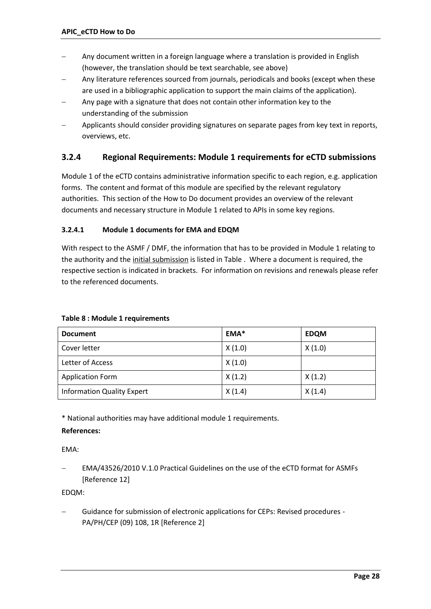- Any document written in a foreign language where a translation is provided in English (however, the translation should be text searchable, see above)
- Any literature references sourced from journals, periodicals and books (except when these are used in a bibliographic application to support the main claims of the application).
- Any page with a signature that does not contain other information key to the understanding of the submission
- Applicants should consider providing signatures on separate pages from key text in reports, overviews, etc.

# <span id="page-27-0"></span>**3.2.4 Regional Requirements: Module 1 requirements for eCTD submissions**

Module 1 of the eCTD contains administrative information specific to each region, e.g. application forms. The content and format of this module are specified by the relevant regulatory authorities. This section of the How to Do document provides an overview of the relevant documents and necessary structure in Module 1 related to APIs in some key regions.

### **3.2.4.1 Module 1 documents for EMA and EDQM**

With respect to the ASMF / DMF, the information that has to be provided in Module 1 relating to the authority and the initial submission is listed i[n Table .](#page-27-1) Where a document is required, the respective section is indicated in brackets. For information on revisions and renewals please refer to the referenced documents.

| <b>Document</b>                   | EMA*   | <b>EDQM</b> |
|-----------------------------------|--------|-------------|
| Cover letter                      | X(1.0) | X(1.0)      |
| Letter of Access                  | X(1.0) |             |
| <b>Application Form</b>           | X(1.2) | X(1.2)      |
| <b>Information Quality Expert</b> | X(1.4) | X(1.4)      |

#### <span id="page-27-1"></span>**Table 8 : Module 1 requirements**

\* National authorities may have additional module 1 requirements.

### **References:**

### EMA:

 EMA/43526/2010 V.1.0 Practical Guidelines on the use of the eCTD format for ASMFs [Reference 12]

### EDQM:

 Guidance for submission of electronic applications for CEPs: Revised procedures - PA/PH/CEP (09) 108, 1R [Reference 2]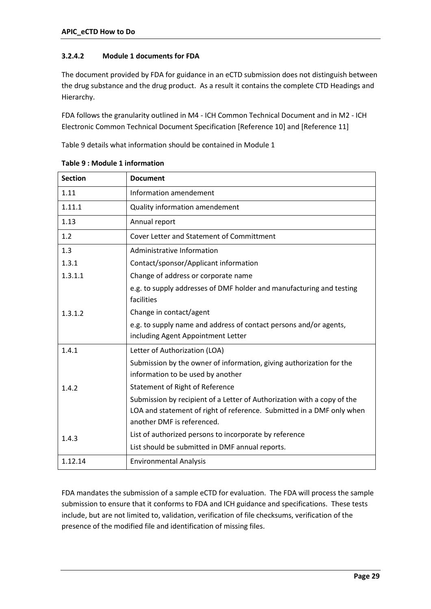### **3.2.4.2 Module 1 documents for FDA**

The document provided by FDA for guidance in an eCTD submission does not distinguish between the drug substance and the drug product. As a result it contains the complete CTD Headings and Hierarchy.

FDA follows the granularity outlined in M4 - ICH Common Technical Document and in M2 - ICH Electronic Common Technical Document Specification [Reference 10] and [Reference 11]

[Table](#page-28-0) 9 details what information should be contained in Module 1

| <b>Section</b> | <b>Document</b>                                                                                           |
|----------------|-----------------------------------------------------------------------------------------------------------|
| 1.11           | Information amendement                                                                                    |
| 1.11.1         | Quality information amendement                                                                            |
| 1.13           | Annual report                                                                                             |
| 1.2            | <b>Cover Letter and Statement of Committment</b>                                                          |
| 1.3            | Administrative Information                                                                                |
| 1.3.1          | Contact/sponsor/Applicant information                                                                     |
| 1.3.1.1        | Change of address or corporate name                                                                       |
|                | e.g. to supply addresses of DMF holder and manufacturing and testing<br>facilities                        |
| 1.3.1.2        | Change in contact/agent                                                                                   |
|                | e.g. to supply name and address of contact persons and/or agents,<br>including Agent Appointment Letter   |
| 1.4.1          | Letter of Authorization (LOA)                                                                             |
| 1.4.2          | Submission by the owner of information, giving authorization for the<br>information to be used by another |
|                | Statement of Right of Reference                                                                           |
|                | Submission by recipient of a Letter of Authorization with a copy of the                                   |
|                | LOA and statement of right of reference. Submitted in a DMF only when                                     |
| 1.4.3          | another DMF is referenced.                                                                                |
|                | List of authorized persons to incorporate by reference                                                    |
|                | List should be submitted in DMF annual reports.                                                           |
| 1.12.14        | <b>Environmental Analysis</b>                                                                             |

<span id="page-28-0"></span>**Table 9 : Module 1 information**

FDA mandates the submission of a sample eCTD for evaluation. The FDA will process the sample submission to ensure that it conforms to FDA and ICH guidance and specifications. These tests include, but are not limited to, validation, verification of file checksums, verification of the presence of the modified file and identification of missing files.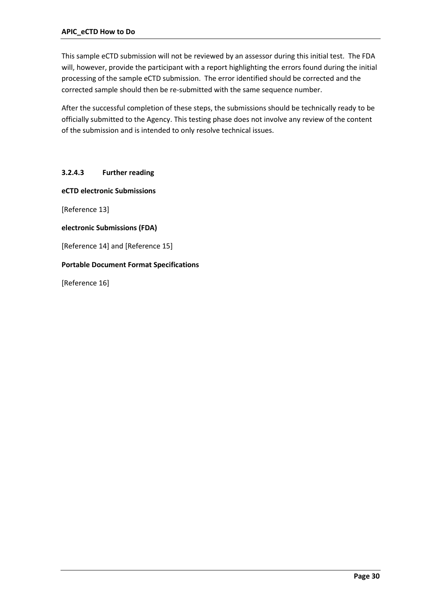This sample eCTD submission will not be reviewed by an assessor during this initial test. The FDA will, however, provide the participant with a report highlighting the errors found during the initial processing of the sample eCTD submission. The error identified should be corrected and the corrected sample should then be re-submitted with the same sequence number.

After the successful completion of these steps, the submissions should be technically ready to be officially submitted to the Agency. This testing phase does not involve any review of the content of the submission and is intended to only resolve technical issues.

### **3.2.4.3 Further reading**

**eCTD electronic Submissions**

[Reference 13]

**electronic Submissions (FDA)**

[Reference 14] and [Reference 15]

#### **Portable Document Format Specifications**

[Reference 16]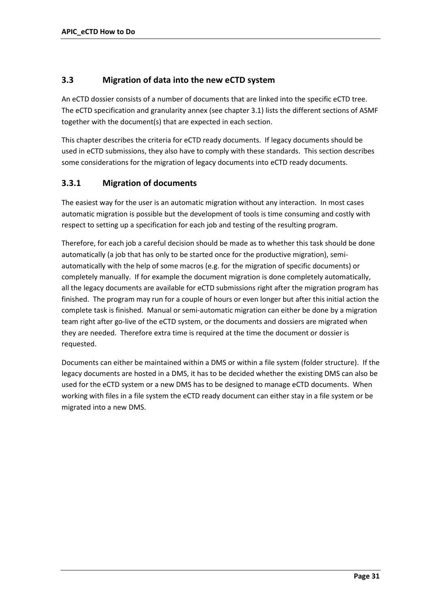# <span id="page-30-0"></span>**3.3 Migration of data into the new eCTD system**

An eCTD dossier consists of a number of documents that are linked into the specific eCTD tree. The eCTD specification and granularity annex (see chapter 3.1) lists the different sections of ASMF together with the document(s) that are expected in each section.

This chapter describes the criteria for eCTD ready documents. If legacy documents should be used in eCTD submissions, they also have to comply with these standards. This section describes some considerations for the migration of legacy documents into eCTD ready documents.

# <span id="page-30-1"></span>**3.3.1 Migration of documents**

The easiest way for the user is an automatic migration without any interaction. In most cases automatic migration is possible but the development of tools is time consuming and costly with respect to setting up a specification for each job and testing of the resulting program.

Therefore, for each job a careful decision should be made as to whether this task should be done automatically (a job that has only to be started once for the productive migration), semiautomatically with the help of some macros (e.g. for the migration of specific documents) or completely manually. If for example the document migration is done completely automatically, all the legacy documents are available for eCTD submissions right after the migration program has finished. The program may run for a couple of hours or even longer but after this initial action the complete task is finished. Manual or semi-automatic migration can either be done by a migration team right after go-live of the eCTD system, or the documents and dossiers are migrated when they are needed. Therefore extra time is required at the time the document or dossier is requested.

Documents can either be maintained within a DMS or within a file system (folder structure). If the legacy documents are hosted in a DMS, it has to be decided whether the existing DMS can also be used for the eCTD system or a new DMS has to be designed to manage eCTD documents. When working with files in a file system the eCTD ready document can either stay in a file system or be migrated into a new DMS.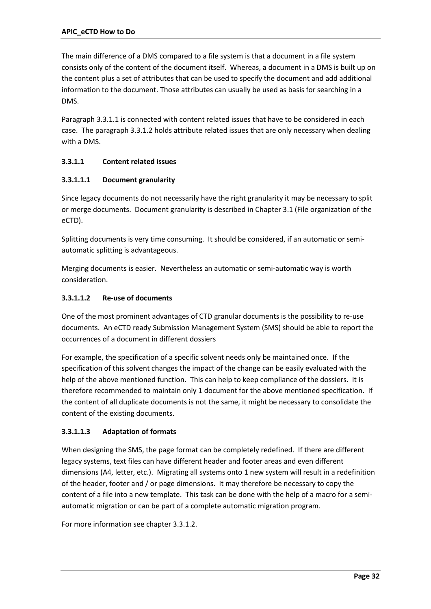The main difference of a DMS compared to a file system is that a document in a file system consists only of the content of the document itself. Whereas, a document in a DMS is built up on the content plus a set of attributes that can be used to specify the document and add additional information to the document. Those attributes can usually be used as basis for searching in a DMS.

Paragraph 3.3.1.1 is connected with content related issues that have to be considered in each case. The paragraph 3.3.1.2 holds attribute related issues that are only necessary when dealing with a DMS.

### **3.3.1.1 Content related issues**

### **3.3.1.1.1 Document granularity**

Since legacy documents do not necessarily have the right granularity it may be necessary to split or merge documents. Document granularity is described in Chapter 3.1 (File organization of the eCTD).

Splitting documents is very time consuming. It should be considered, if an automatic or semiautomatic splitting is advantageous.

Merging documents is easier. Nevertheless an automatic or semi-automatic way is worth consideration.

### **3.3.1.1.2 Re-use of documents**

One of the most prominent advantages of CTD granular documents is the possibility to re-use documents. An eCTD ready Submission Management System (SMS) should be able to report the occurrences of a document in different dossiers

For example, the specification of a specific solvent needs only be maintained once. If the specification of this solvent changes the impact of the change can be easily evaluated with the help of the above mentioned function. This can help to keep compliance of the dossiers. It is therefore recommended to maintain only 1 document for the above mentioned specification. If the content of all duplicate documents is not the same, it might be necessary to consolidate the content of the existing documents.

### **3.3.1.1.3 Adaptation of formats**

When designing the SMS, the page format can be completely redefined. If there are different legacy systems, text files can have different header and footer areas and even different dimensions (A4, letter, etc.). Migrating all systems onto 1 new system will result in a redefinition of the header, footer and / or page dimensions. It may therefore be necessary to copy the content of a file into a new template. This task can be done with the help of a macro for a semiautomatic migration or can be part of a complete automatic migration program.

For more informatio[n see chapter 3.3.1.2.](#page-32-0)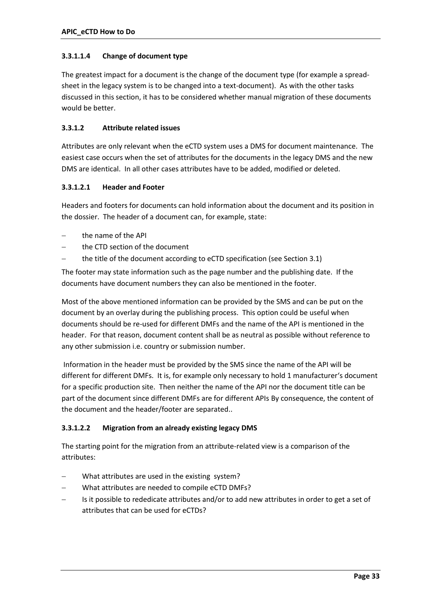### **3.3.1.1.4 Change of document type**

The greatest impact for a document is the change of the document type (for example a spreadsheet in the legacy system is to be changed into a text-document). As with the other tasks discussed in this section, it has to be considered whether manual migration of these documents would be better.

### <span id="page-32-0"></span>**3.3.1.2 Attribute related issues**

Attributes are only relevant when the eCTD system uses a DMS for document maintenance. The easiest case occurs when the set of attributes for the documents in the legacy DMS and the new DMS are identical. In all other cases attributes have to be added, modified or deleted.

### **3.3.1.2.1 Header and Footer**

Headers and footers for documents can hold information about the document and its position in the dossier. The header of a document can, for example, state:

- the name of the API
- the CTD section of the document
- the title of the document according to eCTD specification (see Section 3.1)

The footer may state information such as the page number and the publishing date. If the documents have document numbers they can also be mentioned in the footer.

Most of the above mentioned information can be provided by the SMS and can be put on the document by an overlay during the publishing process. This option could be useful when documents should be re-used for different DMFs and the name of the API is mentioned in the header. For that reason, document content shall be as neutral as possible without reference to any other submission i.e. country or submission number.

Information in the header must be provided by the SMS since the name of the API will be different for different DMFs. It is, for example only necessary to hold 1 manufacturer's document for a specific production site. Then neither the name of the API nor the document title can be part of the document since different DMFs are for different APIs By consequence, the content of the document and the header/footer are separated..

### **3.3.1.2.2 Migration from an already existing legacy DMS**

The starting point for the migration from an attribute-related view is a comparison of the attributes:

- What attributes are used in the existing system?
- What attributes are needed to compile eCTD DMFs?
- Is it possible to rededicate attributes and/or to add new attributes in order to get a set of attributes that can be used for eCTDs?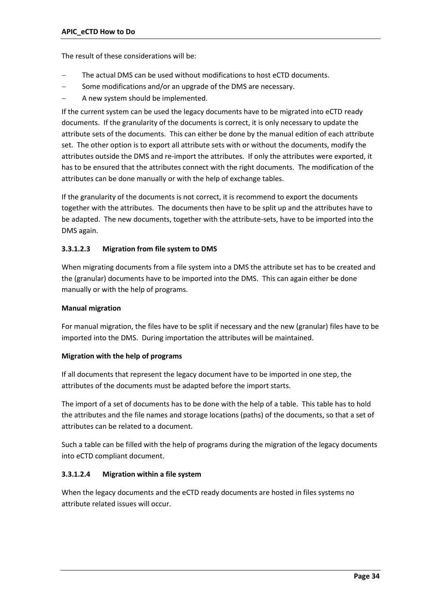The result of these considerations will be:

- The actual DMS can be used without modifications to host eCTD documents.
- Some modifications and/or an upgrade of the DMS are necessary.
- A new system should be implemented.

If the current system can be used the legacy documents have to be migrated into eCTD ready documents. If the granularity of the documents is correct, it is only necessary to update the attribute sets of the documents. This can either be done by the manual edition of each attribute set. The other option is to export all attribute sets with or without the documents, modify the attributes outside the DMS and re-import the attributes. If only the attributes were exported, it has to be ensured that the attributes connect with the right documents. The modification of the attributes can be done manually or with the help of exchange tables.

If the granularity of the documents is not correct, it is recommend to export the documents together with the attributes. The documents then have to be split up and the attributes have to be adapted. The new documents, together with the attribute-sets, have to be imported into the DMS again.

### **3.3.1.2.3 Migration from file system to DMS**

When migrating documents from a file system into a DMS the attribute set has to be created and the (granular) documents have to be imported into the DMS. This can again either be done manually or with the help of programs.

#### **Manual migration**

For manual migration, the files have to be split if necessary and the new (granular) files have to be imported into the DMS. During importation the attributes will be maintained.

#### **Migration with the help of programs**

If all documents that represent the legacy document have to be imported in one step, the attributes of the documents must be adapted before the import starts.

The import of a set of documents has to be done with the help of a table. This table has to hold the attributes and the file names and storage locations (paths) of the documents, so that a set of attributes can be related to a document.

Such a table can be filled with the help of programs during the migration of the legacy documents into eCTD compliant document.

#### **3.3.1.2.4 Migration within a file system**

When the legacy documents and the eCTD ready documents are hosted in files systems no attribute related issues will occur.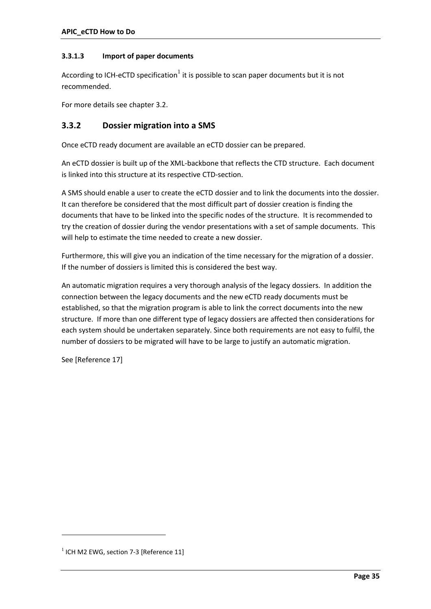### **3.3.1.3 Import of paper documents**

According to ICH-eCTD specification $^1$  it is possible to scan paper documents but it is not recommended.

For more details see chapter 3.2.

### <span id="page-34-0"></span>**3.3.2 Dossier migration into a SMS**

Once eCTD ready document are available an eCTD dossier can be prepared.

An eCTD dossier is built up of the XML-backbone that reflects the CTD structure. Each document is linked into this structure at its respective CTD-section.

A SMS should enable a user to create the eCTD dossier and to link the documents into the dossier. It can therefore be considered that the most difficult part of dossier creation is finding the documents that have to be linked into the specific nodes of the structure. It is recommended to try the creation of dossier during the vendor presentations with a set of sample documents. This will help to estimate the time needed to create a new dossier.

Furthermore, this will give you an indication of the time necessary for the migration of a dossier. If the number of dossiers is limited this is considered the best way.

An automatic migration requires a very thorough analysis of the legacy dossiers. In addition the connection between the legacy documents and the new eCTD ready documents must be established, so that the migration program is able to link the correct documents into the new structure. If more than one different type of legacy dossiers are affected then considerations for each system should be undertaken separately. Since both requirements are not easy to fulfil, the number of dossiers to be migrated will have to be large to justify an automatic migration.

See [Reference 17]

1

 $1$  ICH M2 EWG, section 7-3 [Reference 11]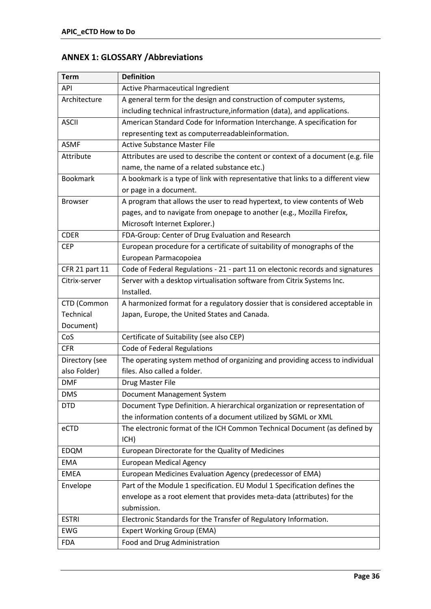# **ANNEX 1: GLOSSARY /Abbreviations**

| <b>Term</b>     | <b>Definition</b>                                                               |
|-----------------|---------------------------------------------------------------------------------|
| <b>API</b>      | Active Pharmaceutical Ingredient                                                |
| Architecture    | A general term for the design and construction of computer systems,             |
|                 | including technical infrastructure, information (data), and applications.       |
| <b>ASCII</b>    | American Standard Code for Information Interchange. A specification for         |
|                 | representing text as computerreadableinformation.                               |
| <b>ASMF</b>     | <b>Active Substance Master File</b>                                             |
| Attribute       | Attributes are used to describe the content or context of a document (e.g. file |
|                 | name, the name of a related substance etc.)                                     |
| <b>Bookmark</b> | A bookmark is a type of link with representative that links to a different view |
|                 | or page in a document.                                                          |
| <b>Browser</b>  | A program that allows the user to read hypertext, to view contents of Web       |
|                 | pages, and to navigate from onepage to another (e.g., Mozilla Firefox,          |
|                 | Microsoft Internet Explorer.)                                                   |
| <b>CDER</b>     | FDA-Group: Center of Drug Evaluation and Research                               |
| <b>CEP</b>      | European procedure for a certificate of suitability of monographs of the        |
|                 | European Parmacopoiea                                                           |
| CFR 21 part 11  | Code of Federal Regulations - 21 - part 11 on electonic records and signatures  |
| Citrix-server   | Server with a desktop virtualisation software from Citrix Systems Inc.          |
|                 | Installed.                                                                      |
| CTD (Common     | A harmonized format for a regulatory dossier that is considered acceptable in   |
| Technical       | Japan, Europe, the United States and Canada.                                    |
| Document)       |                                                                                 |
| CoS             | Certificate of Suitability (see also CEP)                                       |
| <b>CFR</b>      | Code of Federal Regulations                                                     |
| Directory (see  | The operating system method of organizing and providing access to individual    |
| also Folder)    | files. Also called a folder.                                                    |
| <b>DMF</b>      | Drug Master File                                                                |
| <b>DMS</b>      | Document Management System                                                      |
| <b>DTD</b>      | Document Type Definition. A hierarchical organization or representation of      |
|                 | the information contents of a document utilized by SGML or XML                  |
| eCTD            | The electronic format of the ICH Common Technical Document (as defined by       |
|                 | ICH)                                                                            |
| <b>EDQM</b>     | European Directorate for the Quality of Medicines                               |
| <b>EMA</b>      | <b>European Medical Agency</b>                                                  |
| <b>EMEA</b>     | European Medicines Evaluation Agency (predecessor of EMA)                       |
| Envelope        | Part of the Module 1 specification. EU Modul 1 Specification defines the        |
|                 | envelope as a root element that provides meta-data (attributes) for the         |
|                 | submission.                                                                     |
| <b>ESTRI</b>    | Electronic Standards for the Transfer of Regulatory Information.                |
| <b>EWG</b>      | <b>Expert Working Group (EMA)</b>                                               |
| <b>FDA</b>      | Food and Drug Administration                                                    |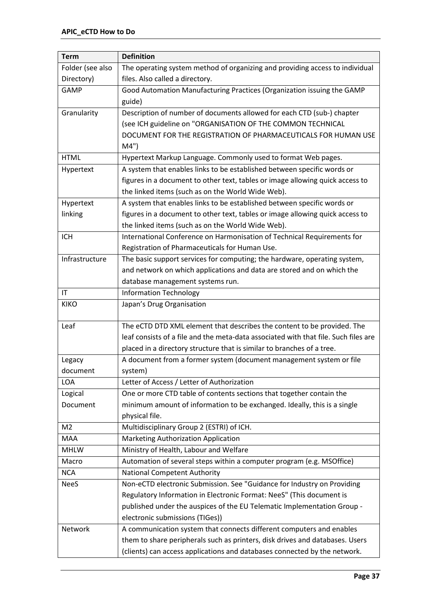| <b>Term</b>      | <b>Definition</b>                                                                   |
|------------------|-------------------------------------------------------------------------------------|
| Folder (see also | The operating system method of organizing and providing access to individual        |
| Directory)       | files. Also called a directory.                                                     |
| <b>GAMP</b>      | Good Automation Manufacturing Practices (Organization issuing the GAMP              |
|                  | guide)                                                                              |
| Granularity      | Description of number of documents allowed for each CTD (sub-) chapter              |
|                  | (see ICH guideline on "ORGANISATION OF THE COMMON TECHNICAL                         |
|                  | DOCUMENT FOR THE REGISTRATION OF PHARMACEUTICALS FOR HUMAN USE                      |
|                  | M4"                                                                                 |
| <b>HTML</b>      | Hypertext Markup Language. Commonly used to format Web pages.                       |
| Hypertext        | A system that enables links to be established between specific words or             |
|                  | figures in a document to other text, tables or image allowing quick access to       |
|                  | the linked items (such as on the World Wide Web).                                   |
| Hypertext        | A system that enables links to be established between specific words or             |
| linking          | figures in a document to other text, tables or image allowing quick access to       |
|                  | the linked items (such as on the World Wide Web).                                   |
| <b>ICH</b>       | International Conference on Harmonisation of Technical Requirements for             |
|                  | Registration of Pharmaceuticals for Human Use.                                      |
| Infrastructure   | The basic support services for computing; the hardware, operating system,           |
|                  | and network on which applications and data are stored and on which the              |
|                  | database management systems run.                                                    |
| IT               | <b>Information Technology</b>                                                       |
| <b>KIKO</b>      | Japan's Drug Organisation                                                           |
|                  |                                                                                     |
| Leaf             | The eCTD DTD XML element that describes the content to be provided. The             |
|                  | leaf consists of a file and the meta-data associated with that file. Such files are |
|                  | placed in a directory structure that is similar to branches of a tree.              |
| Legacy           | A document from a former system (document management system or file                 |
| document         | system)                                                                             |
| <b>LOA</b>       | Letter of Access / Letter of Authorization                                          |
| Logical          | One or more CTD table of contents sections that together contain the                |
| Document         | minimum amount of information to be exchanged. Ideally, this is a single            |
|                  | physical file.                                                                      |
| M <sub>2</sub>   | Multidisciplinary Group 2 (ESTRI) of ICH.                                           |
| <b>MAA</b>       | Marketing Authorization Application                                                 |
| <b>MHLW</b>      | Ministry of Health, Labour and Welfare                                              |
| Macro            | Automation of several steps within a computer program (e.g. MSOffice)               |
| <b>NCA</b>       | <b>National Competent Authority</b>                                                 |
| <b>NeeS</b>      | Non-eCTD electronic Submission. See "Guidance for Industry on Providing             |
|                  | Regulatory Information in Electronic Format: NeeS" (This document is                |
|                  | published under the auspices of the EU Telematic Implementation Group -             |
|                  | electronic submissions (TIGes))                                                     |
| Network          | A communication system that connects different computers and enables                |
|                  | them to share peripherals such as printers, disk drives and databases. Users        |
|                  | (clients) can access applications and databases connected by the network.           |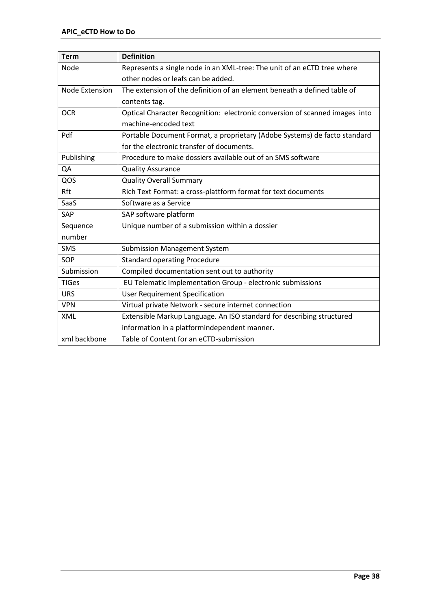| <b>Term</b>    | <b>Definition</b>                                                           |
|----------------|-----------------------------------------------------------------------------|
| Node           | Represents a single node in an XML-tree: The unit of an eCTD tree where     |
|                | other nodes or leafs can be added.                                          |
| Node Extension | The extension of the definition of an element beneath a defined table of    |
|                | contents tag.                                                               |
| <b>OCR</b>     | Optical Character Recognition: electronic conversion of scanned images into |
|                | machine-encoded text                                                        |
| Pdf            | Portable Document Format, a proprietary (Adobe Systems) de facto standard   |
|                | for the electronic transfer of documents.                                   |
| Publishing     | Procedure to make dossiers available out of an SMS software                 |
| QA             | <b>Quality Assurance</b>                                                    |
| QOS            | <b>Quality Overall Summary</b>                                              |
| Rft            | Rich Text Format: a cross-plattform format for text documents               |
| SaaS           | Software as a Service                                                       |
| <b>SAP</b>     | SAP software platform                                                       |
| Sequence       | Unique number of a submission within a dossier                              |
| number         |                                                                             |
| SMS            | <b>Submission Management System</b>                                         |
| SOP            | <b>Standard operating Procedure</b>                                         |
| Submission     | Compiled documentation sent out to authority                                |
| <b>TIGes</b>   | EU Telematic Implementation Group - electronic submissions                  |
| <b>URS</b>     | <b>User Requirement Specification</b>                                       |
| <b>VPN</b>     | Virtual private Network - secure internet connection                        |
| <b>XML</b>     | Extensible Markup Language. An ISO standard for describing structured       |
|                | information in a platformindependent manner.                                |
| xml backbone   | Table of Content for an eCTD-submission                                     |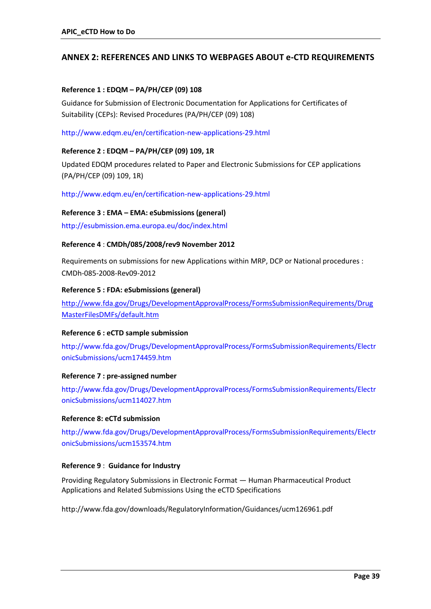### **ANNEX 2: REFERENCES AND LINKS TO WEBPAGES ABOUT e-CTD REQUIREMENTS**

#### **Reference 1 : EDQM – PA/PH/CEP (09) 108**

Guidance for Submission of Electronic Documentation for Applications for Certificates of Suitability (CEPs): Revised Procedures (PA/PH/CEP (09) 108)

#### <http://www.edqm.eu/en/certification-new-applications-29.html>

#### **Reference 2 : EDQM – PA/PH/CEP (09) 109, 1R**

Updated EDQM procedures related to Paper and Electronic Submissions for CEP applications (PA/PH/CEP (09) 109, 1R)

<http://www.edqm.eu/en/certification-new-applications-29.html>

#### **Reference 3 : EMA – EMA: eSubmissions (general)**

<http://esubmission.ema.europa.eu/doc/index.html>

#### **Reference 4** : **CMDh/085/2008/rev9 November 2012**

Requirements on submissions for new Applications within MRP, DCP or National procedures : CMDh-085-2008-Rev09-2012

#### **Reference 5 : FDA: eSubmissions (general)**

[http://www.fda.gov/Drugs/DevelopmentApprovalProcess/FormsSubmissionRequirements/Drug](http://www.fda.gov/Drugs/DevelopmentApprovalProcess/FormsSubmissionRequirements/DrugMasterFilesDMFs/default.htm) [MasterFilesDMFs/default.htm](http://www.fda.gov/Drugs/DevelopmentApprovalProcess/FormsSubmissionRequirements/DrugMasterFilesDMFs/default.htm)

#### **Reference 6 : eCTD sample submission**

[http://www.fda.gov/Drugs/DevelopmentApprovalProcess/FormsSubmissionRequirements/Electr](http://www.fda.gov/Drugs/DevelopmentApprovalProcess/FormsSubmissionRequirements/ElectronicSubmissions/ucm174459.htm) [onicSubmissions/ucm174459.htm](http://www.fda.gov/Drugs/DevelopmentApprovalProcess/FormsSubmissionRequirements/ElectronicSubmissions/ucm174459.htm)

#### **Reference 7 : pre-assigned number**

[http://www.fda.gov/Drugs/DevelopmentApprovalProcess/FormsSubmissionRequirements/Electr](http://www.fda.gov/Drugs/DevelopmentApprovalProcess/FormsSubmissionRequirements/ElectronicSubmissions/ucm114027.htm) [onicSubmissions/ucm114027.htm](http://www.fda.gov/Drugs/DevelopmentApprovalProcess/FormsSubmissionRequirements/ElectronicSubmissions/ucm114027.htm)

#### **Reference 8: eCTd submission**

[http://www.fda.gov/Drugs/DevelopmentApprovalProcess/FormsSubmissionRequirements/Electr](http://www.fda.gov/Drugs/DevelopmentApprovalProcess/FormsSubmissionRequirements/ElectronicSubmissions/ucm153574.htm) [onicSubmissions/ucm153574.htm](http://www.fda.gov/Drugs/DevelopmentApprovalProcess/FormsSubmissionRequirements/ElectronicSubmissions/ucm153574.htm)

#### **Reference 9** : **Guidance for Industry**

Providing Regulatory Submissions in Electronic Format — Human Pharmaceutical Product Applications and Related Submissions Using the eCTD Specifications

http://www.fda.gov/downloads/RegulatoryInformation/Guidances/ucm126961.pdf